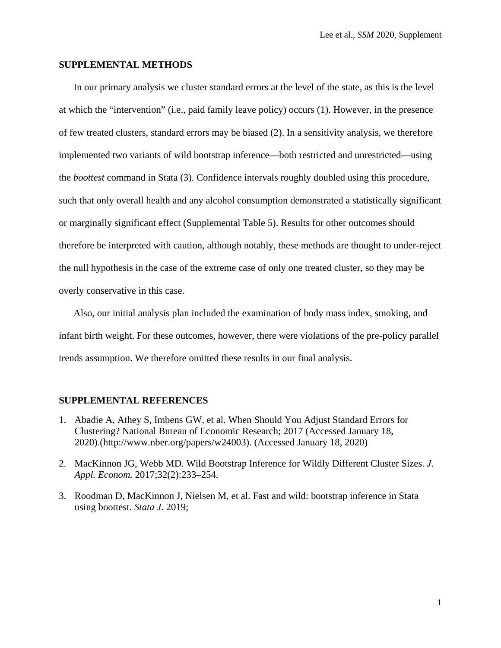#### **SUPPLEMENTAL METHODS**

In our primary analysis we cluster standard errors at the level of the state, as this is the level at which the "intervention" (i.e., paid family leave policy) occurs (1). However, in the presence of few treated clusters, standard errors may be biased (2). In a sensitivity analysis, we therefore implemented two variants of wild bootstrap inference—both restricted and unrestricted—using the *boottest* command in Stata (3). Confidence intervals roughly doubled using this procedure, such that only overall health and any alcohol consumption demonstrated a statistically significant or marginally significant effect (Supplemental Table 5). Results for other outcomes should therefore be interpreted with caution, although notably, these methods are thought to under-reject the null hypothesis in the case of the extreme case of only one treated cluster, so they may be overly conservative in this case.

Also, our initial analysis plan included the examination of body mass index, smoking, and infant birth weight. For these outcomes, however, there were violations of the pre-policy parallel trends assumption. We therefore omitted these results in our final analysis.

#### **SUPPLEMENTAL REFERENCES**

- 1. Abadie A, Athey S, Imbens GW, et al. When Should You Adjust Standard Errors for Clustering? National Bureau of Economic Research; 2017 (Accessed January 18, 2020).(http://www.nber.org/papers/w24003). (Accessed January 18, 2020)
- 2. MacKinnon JG, Webb MD. Wild Bootstrap Inference for Wildly Different Cluster Sizes. *J. Appl. Econom.* 2017;32(2):233–254.
- 3. Roodman D, MacKinnon J, Nielsen M, et al. Fast and wild: bootstrap inference in Stata using boottest. *Stata J.* 2019;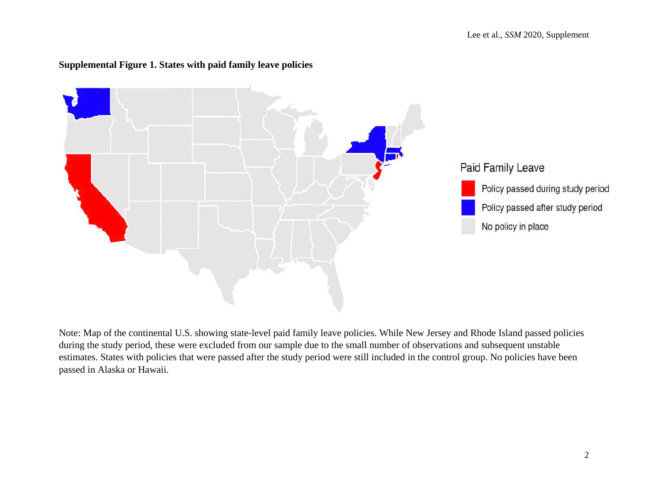

# **Supplemental Figure 1. States with paid family leave policies**

Note: Map of the continental U.S. showing state-level paid family leave policies. While New Jersey and Rhode Island passed policies during the study period, these were excluded from our sample due to the small number of observations and subsequent unstable estimates. States with policies that were passed after the study period were still included in the control group. No policies have been passed in Alaska or Hawaii.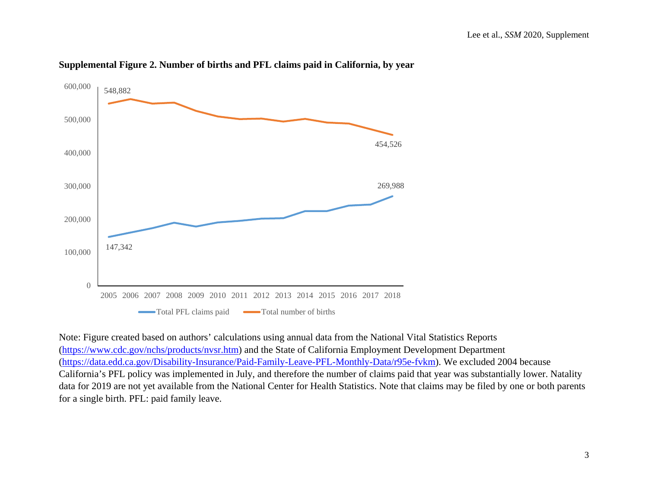

### **Supplemental Figure 2. Number of births and PFL claims paid in California, by year**

Note: Figure created based on authors' calculations using annual data from the National Vital Statistics Reports [\(https://www.cdc.gov/nchs/products/nvsr.htm\)](https://www.cdc.gov/nchs/products/nvsr.htm) and the State of California Employment Development Department [\(https://data.edd.ca.gov/Disability-Insurance/Paid-Family-Leave-PFL-Monthly-Data/r95e-fvkm\)](https://data.edd.ca.gov/Disability-Insurance/Paid-Family-Leave-PFL-Monthly-Data/r95e-fvkm). We excluded 2004 because California's PFL policy was implemented in July, and therefore the number of claims paid that year was substantially lower. Natality data for 2019 are not yet available from the National Center for Health Statistics. Note that claims may be filed by one or both parents for a single birth. PFL: paid family leave.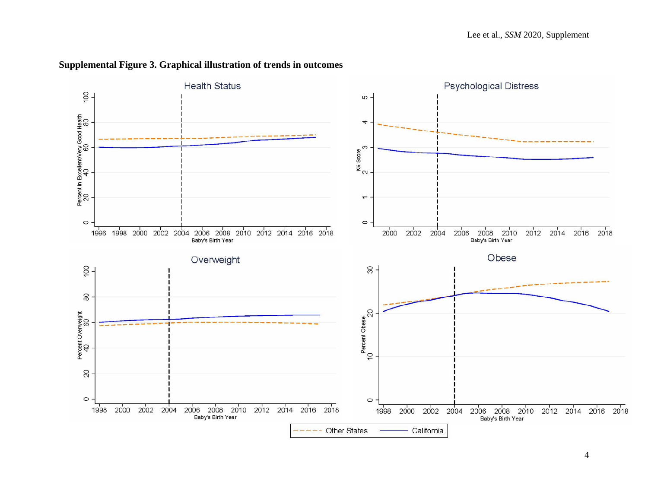

# **Supplemental Figure 3. Graphical illustration of trends in outcomes**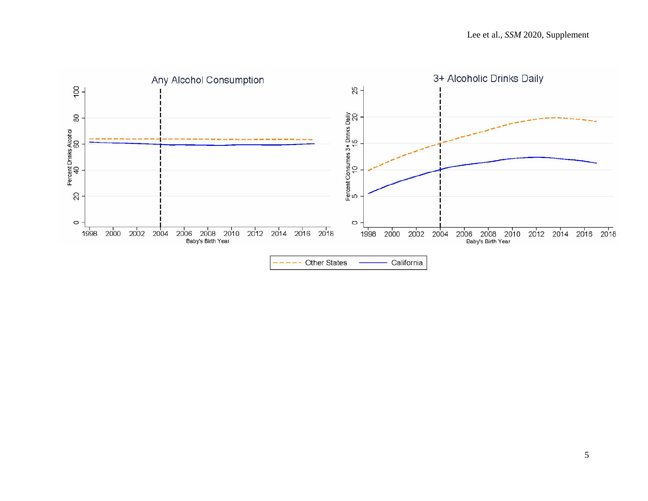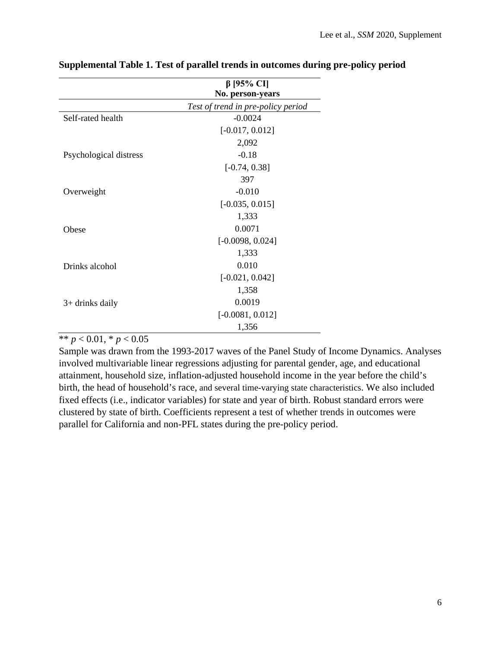|                        | $β$ [95% CI]<br>No. person-years   |
|------------------------|------------------------------------|
|                        | Test of trend in pre-policy period |
| Self-rated health      | $-0.0024$                          |
|                        | $[-0.017, 0.012]$                  |
|                        | 2,092                              |
| Psychological distress | $-0.18$                            |
|                        | $[-0.74, 0.38]$                    |
|                        | 397                                |
| Overweight             | $-0.010$                           |
|                        | $[-0.035, 0.015]$                  |
|                        | 1,333                              |
| Obese                  | 0.0071                             |
|                        | $[-0.0098, 0.024]$                 |
|                        | 1,333                              |
| Drinks alcohol         | 0.010                              |
|                        | $[-0.021, 0.042]$                  |
|                        | 1,358                              |
| $3+$ drinks daily      | 0.0019                             |
|                        | $[-0.0081, 0.012]$                 |
|                        | 1,356                              |

## **Supplemental Table 1. Test of parallel trends in outcomes during pre-policy period**

\*\*  $p < 0.01$ , \*  $p < 0.05$ 

Sample was drawn from the 1993-2017 waves of the Panel Study of Income Dynamics. Analyses involved multivariable linear regressions adjusting for parental gender, age, and educational attainment, household size, inflation-adjusted household income in the year before the child's birth, the head of household's race, and several time-varying state characteristics. We also included fixed effects (i.e., indicator variables) for state and year of birth. Robust standard errors were clustered by state of birth. Coefficients represent a test of whether trends in outcomes were parallel for California and non-PFL states during the pre-policy period.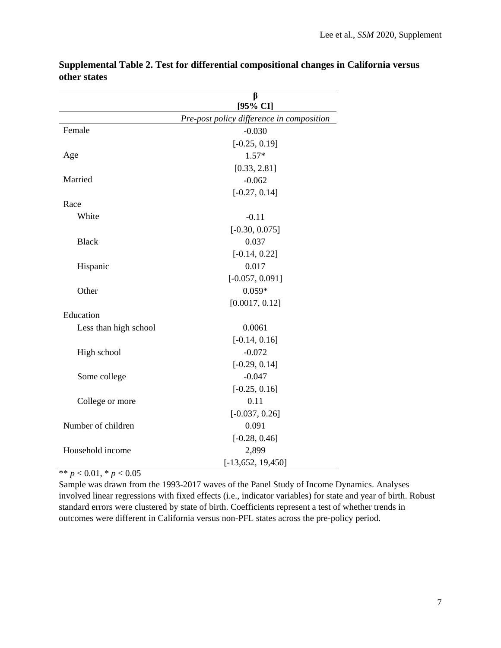|                       | β<br>[95% CI]                             |
|-----------------------|-------------------------------------------|
|                       | Pre-post policy difference in composition |
| Female                | $-0.030$                                  |
|                       | $[-0.25, 0.19]$                           |
| Age                   | $1.57*$                                   |
|                       | [0.33, 2.81]                              |
| Married               | $-0.062$                                  |
|                       | $[-0.27, 0.14]$                           |
| Race                  |                                           |
| White                 | $-0.11$                                   |
|                       | $[-0.30, 0.075]$                          |
| <b>Black</b>          | 0.037                                     |
|                       | $[-0.14, 0.22]$                           |
| Hispanic              | 0.017                                     |
|                       | $[-0.057, 0.091]$                         |
| Other                 | $0.059*$                                  |
|                       | [0.0017, 0.12]                            |
| Education             |                                           |
| Less than high school | 0.0061                                    |
|                       | $[-0.14, 0.16]$                           |
| High school           | $-0.072$                                  |
|                       | $[-0.29, 0.14]$                           |
| Some college          | $-0.047$                                  |
|                       | $[-0.25, 0.16]$                           |
| College or more       | 0.11                                      |
|                       | $[-0.037, 0.26]$                          |
| Number of children    | 0.091                                     |
|                       | $[-0.28, 0.46]$                           |
| Household income      | 2,899                                     |
|                       | $[-13, 652, 19, 450]$                     |

**Supplemental Table 2. Test for differential compositional changes in California versus other states**

\*\*  $p < 0.01$ , \*  $p < 0.05$ 

Sample was drawn from the 1993-2017 waves of the Panel Study of Income Dynamics. Analyses involved linear regressions with fixed effects (i.e., indicator variables) for state and year of birth. Robust standard errors were clustered by state of birth. Coefficients represent a test of whether trends in outcomes were different in California versus non-PFL states across the pre-policy period.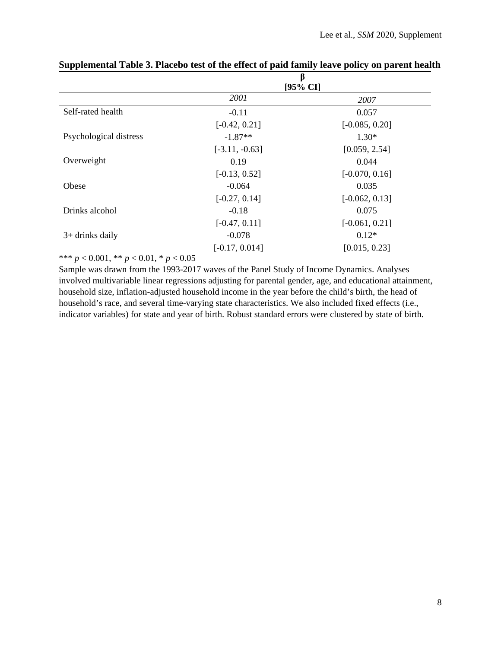|                        | β<br>[95% CI]    |                  |  |
|------------------------|------------------|------------------|--|
|                        | <i>2001</i>      | 2007             |  |
| Self-rated health      | $-0.11$          | 0.057            |  |
|                        | $[-0.42, 0.21]$  | $[-0.085, 0.20]$ |  |
| Psychological distress | $-1.87**$        | $1.30*$          |  |
|                        | $[-3.11, -0.63]$ | [0.059, 2.54]    |  |
| Overweight             | 0.19             | 0.044            |  |
|                        | $[-0.13, 0.52]$  | $[-0.070, 0.16]$ |  |
| Obese                  | $-0.064$         | 0.035            |  |
|                        | $[-0.27, 0.14]$  | $[-0.062, 0.13]$ |  |
| Drinks alcohol         | $-0.18$          | 0.075            |  |
|                        | $[-0.47, 0.11]$  | $[-0.061, 0.21]$ |  |
| $3+$ drinks daily      | $-0.078$         | $0.12*$          |  |
|                        | $[-0.17, 0.014]$ | [0.015, 0.23]    |  |

# **Supplemental Table 3. Placebo test of the effect of paid family leave policy on parent health**

\*\*\* *p* < 0.001, \*\* *p* < 0.01, \* *p* < 0.05

Sample was drawn from the 1993-2017 waves of the Panel Study of Income Dynamics. Analyses involved multivariable linear regressions adjusting for parental gender, age, and educational attainment, household size, inflation-adjusted household income in the year before the child's birth, the head of household's race, and several time-varying state characteristics. We also included fixed effects (i.e., indicator variables) for state and year of birth. Robust standard errors were clustered by state of birth.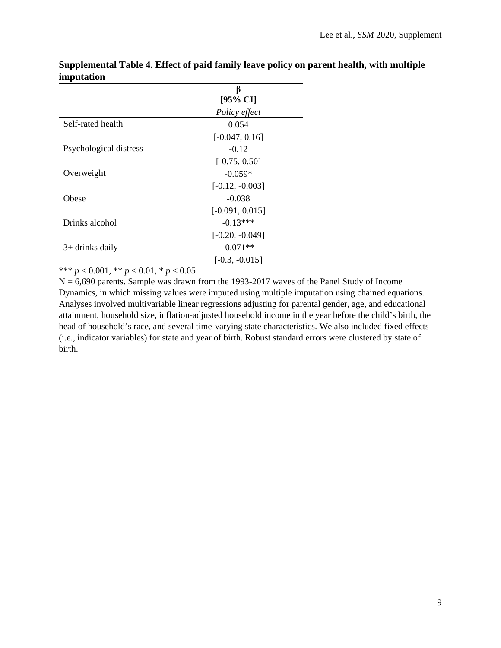|                        | B                   |
|------------------------|---------------------|
|                        | $[95\% \text{ CI}]$ |
|                        | Policy effect       |
| Self-rated health      | 0.054               |
|                        | $[-0.047, 0.16]$    |
| Psychological distress | $-0.12$             |
|                        | $[-0.75, 0.50]$     |
| Overweight             | $-0.059*$           |
|                        | $[-0.12, -0.003]$   |
| Obese                  | $-0.038$            |
|                        | $[-0.091, 0.015]$   |
| Drinks alcohol         | $-0.13***$          |
|                        | $[-0.20, -0.049]$   |
| $3+$ drinks daily      | $-0.071**$          |
|                        | $[-0.3, -0.015]$    |

**Supplemental Table 4. Effect of paid family leave policy on parent health, with multiple imputation**

\*\*\* *p* < 0.001, \*\* *p* < 0.01, \* *p* < 0.05

 $N = 6,690$  parents. Sample was drawn from the 1993-2017 waves of the Panel Study of Income Dynamics, in which missing values were imputed using multiple imputation using chained equations. Analyses involved multivariable linear regressions adjusting for parental gender, age, and educational attainment, household size, inflation-adjusted household income in the year before the child's birth, the head of household's race, and several time-varying state characteristics. We also included fixed effects (i.e., indicator variables) for state and year of birth. Robust standard errors were clustered by state of birth.